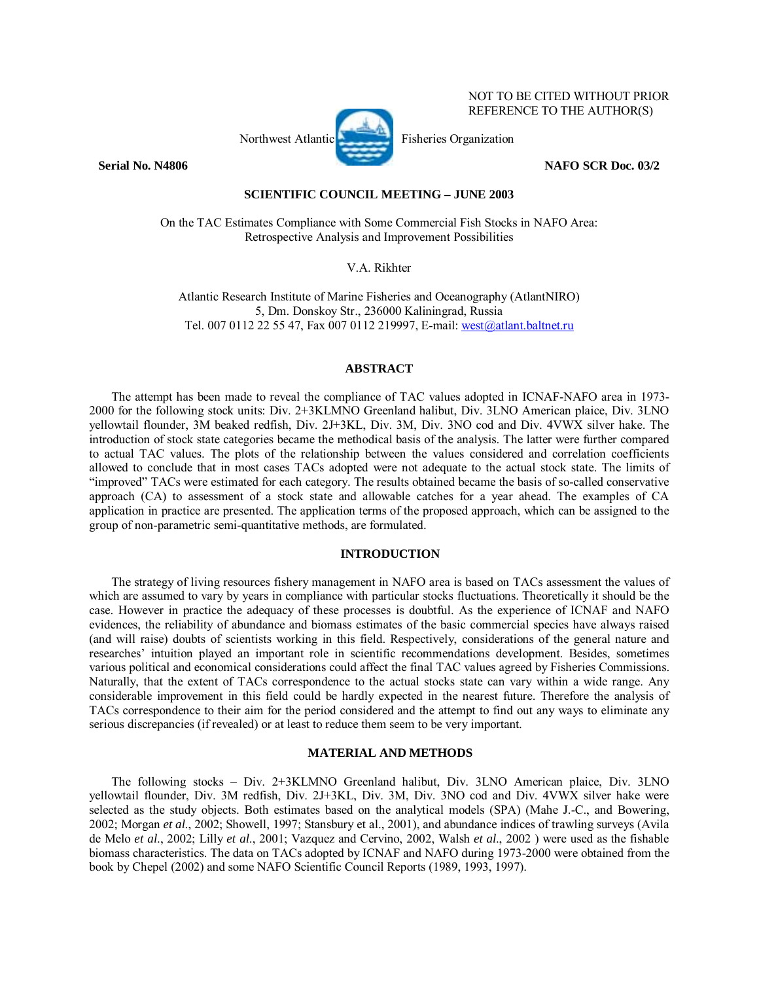# Northwest Atlantic Fisheries Organization

**Serial No. N4806 NAFO SCR Doc. 03/2** 

NOT TO BE CITED WITHOUT PRIOR REFERENCE TO THE AUTHOR(S)

# **SCIENTIFIC COUNCIL MEETING – JUNE 2003**

On the TAC Estimates Compliance with Some Commercial Fish Stocks in NAFO Area: Retrospective Analysis and Improvement Possibilities

V.A. Rikhter

Atlantic Research Institute of Marine Fisheries and Oceanography (AtlantNIRO) 5, Dm. Donskoy Str., 236000 Kaliningrad, Russia Tel. 007 0112 22 55 47, Fax 007 0112 219997, E-mail: west@atlant.baltnet.ru

# **ABSTRACT**

The attempt has been made to reveal the compliance of TAC values adopted in ICNAF-NAFO area in 1973- 2000 for the following stock units: Div. 2+3KLMNO Greenland halibut, Div. 3LNO American plaice, Div. 3LNO yellowtail flounder, 3М beaked redfish, Div. 2J+3KL, Div. 3М, Div. 3NO cod and Div. 4VWX silver hake. The introduction of stock state categories became the methodical basis of the analysis. The latter were further compared to actual TAC values. The plots of the relationship between the values considered and correlation coefficients allowed to conclude that in most cases TACs adopted were not adequate to the actual stock state. The limits of ìimprovedî TACs were estimated for each category. The results obtained became the basis of so-called conservative approach (СА) to assessment of a stock state and allowable catches for a year ahead. The examples of CA application in practice are presented. The application terms of the proposed approach, which can be assigned to the group of non-parametric semi-quantitative methods, are formulated.

## **INTRODUCTION**

The strategy of living resources fishery management in NAFO area is based on TACs assessment the values of which are assumed to vary by years in compliance with particular stocks fluctuations. Theoretically it should be the case. However in practice the adequacy of these processes is doubtful. As the experience of ICNAF and NAFO evidences, the reliability of abundance and biomass estimates of the basic commercial species have always raised (and will raise) doubts of scientists working in this field. Respectively, considerations of the general nature and researches' intuition played an important role in scientific recommendations development. Besides, sometimes various political and economical considerations could affect the final TAC values agreed by Fisheries Commissions. Naturally, that the extent of TACs correspondence to the actual stocks state can vary within a wide range. Any considerable improvement in this field could be hardly expected in the nearest future. Therefore the analysis of TACs correspondence to their aim for the period considered and the attempt to find out any ways to eliminate any serious discrepancies (if revealed) or at least to reduce them seem to be very important.

### **MATERIAL AND METHODS**

The following stocks – Div. 2+3KLMNO Greenland halibut, Div. 3LNO American plaice, Div. 3LNO yellowtail flounder, Div. 3M redfish, Div. 2J+3KL, Div. 3M, Div. 3NO cod and Div. 4VWX silver hake were selected as the study objects. Both estimates based on the analytical models (SPA) (Mahe J.-C., and Bowering, 2002; Morgan *et al*., 2002; Showell, 1997; Stansbury et al., 2001), and abundance indices of trawling surveys (Avilа de Melo *et al*., 2002; Lilly *et al*., 2001; Vazquez and Cervino, 2002, Walsh *et al*., 2002 ) were used as the fishable biomass characteristics. The data on TACs adopted by ICNAF and NAFO during 1973-2000 were obtained from the book by Chepel (2002) and some NAFO Scientific Council Reports (1989, 1993, 1997).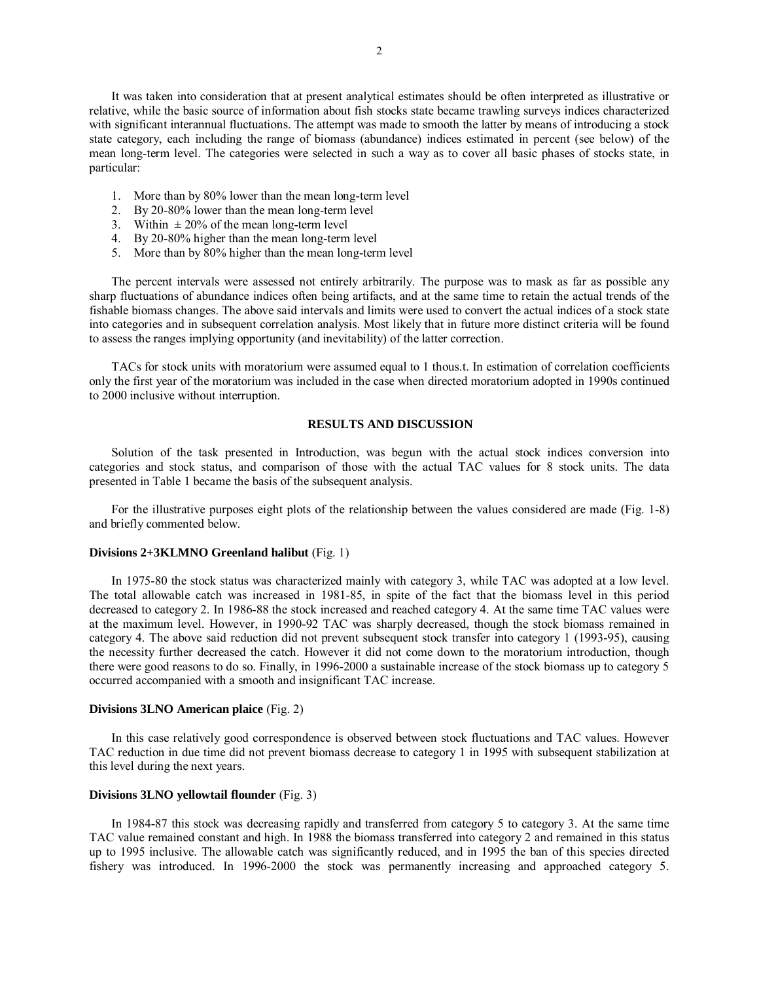It was taken into consideration that at present analytical estimates should be often interpreted as illustrative or relative, while the basic source of information about fish stocks state became trawling surveys indices characterized with significant interannual fluctuations. The attempt was made to smooth the latter by means of introducing a stock state category, each including the range of biomass (abundance) indices estimated in percent (see below) of the mean long-term level. The categories were selected in such a way as to cover all basic phases of stocks state, in particular:

- 1. More than by 80% lower than the mean long-term level
- 2. By 20-80% lower than the mean long-term level
- 3. Within  $\pm 20\%$  of the mean long-term level
- 4. By 20-80% higher than the mean long-term level
- 5. More than by 80% higher than the mean long-term level

The percent intervals were assessed not entirely arbitrarily. The purpose was to mask as far as possible any sharp fluctuations of abundance indices often being artifacts, and at the same time to retain the actual trends of the fishable biomass changes. The above said intervals and limits were used to convert the actual indices of a stock state into categories and in subsequent correlation analysis. Most likely that in future more distinct criteria will be found to assess the ranges implying opportunity (and inevitability) of the latter correction.

TACs for stock units with moratorium were assumed equal to 1 thous.t. In estimation of correlation coefficients only the first year of the moratorium was included in the case when directed moratorium adopted in 1990s continued to 2000 inclusive without interruption.

#### **RESULTS AND DISCUSSION**

Solution of the task presented in Introduction, was begun with the actual stock indices conversion into categories and stock status, and comparison of those with the actual TAC values for 8 stock units. The data presented in Table 1 became the basis of the subsequent analysis.

For the illustrative purposes eight plots of the relationship between the values considered are made (Fig. 1-8) and briefly commented below.

## **Divisions 2+3KLMNO Greenland halibut** (Fig. 1)

In 1975-80 the stock status was characterized mainly with category 3, while TAC was adopted at a low level. The total allowable catch was increased in 1981-85, in spite of the fact that the biomass level in this period decreased to category 2. In 1986-88 the stock increased and reached category 4. At the same time TAC values were at the maximum level. However, in 1990-92 TAC was sharply decreased, though the stock biomass remained in category 4. The above said reduction did not prevent subsequent stock transfer into category 1 (1993-95), causing the necessity further decreased the catch. However it did not come down to the moratorium introduction, though there were good reasons to do so. Finally, in 1996-2000 a sustainable increase of the stock biomass up to category 5 occurred accompanied with a smooth and insignificant TAC increase.

#### **Divisions 3LNO American plaice** (Fig. 2)

In this case relatively good correspondence is observed between stock fluctuations and TAC values. However TAC reduction in due time did not prevent biomass decrease to category 1 in 1995 with subsequent stabilization at this level during the next years.

#### **Divisions 3LNO yellowtail flounder** (Fig. 3)

In 1984-87 this stock was decreasing rapidly and transferred from category 5 to category 3. At the same time TAC value remained constant and high. In 1988 the biomass transferred into category 2 and remained in this status up to 1995 inclusive. The allowable catch was significantly reduced, and in 1995 the ban of this species directed fishery was introduced. In 1996-2000 the stock was permanently increasing and approached category 5.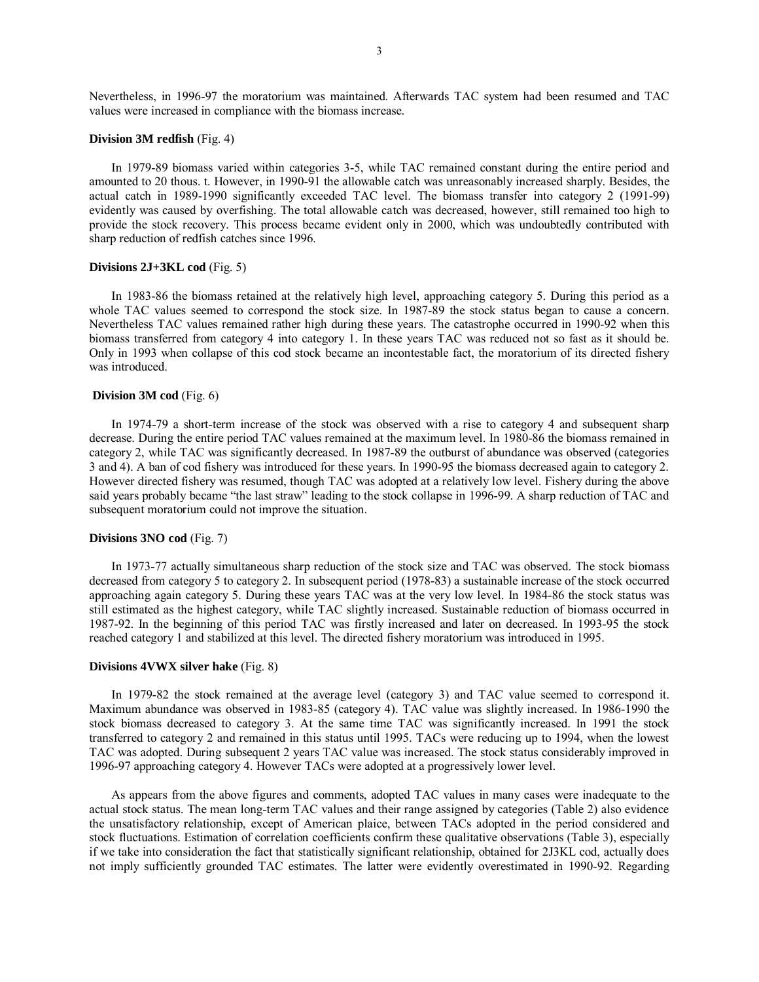Nevertheless, in 1996-97 the moratorium was maintained. Afterwards TAC system had been resumed and TAC values were increased in compliance with the biomass increase.

#### **Division 3M redfish** (Fig. 4)

In 1979-89 biomass varied within categories 3-5, while TAC remained constant during the entire period and amounted to 20 thous. t. However, in 1990-91 the allowable catch was unreasonably increased sharply. Besides, the actual catch in 1989-1990 significantly exceeded TAC level. The biomass transfer into category 2 (1991-99) evidently was caused by overfishing. The total allowable catch was decreased, however, still remained too high to provide the stock recovery. This process became evident only in 2000, which was undoubtedly contributed with sharp reduction of redfish catches since 1996.

## **Divisions 2J+3KL cod** (Fig. 5)

In 1983-86 the biomass retained at the relatively high level, approaching category 5. During this period as a whole TAC values seemed to correspond the stock size. In 1987-89 the stock status began to cause a concern. Nevertheless TAC values remained rather high during these years. The catastrophe occurred in 1990-92 when this biomass transferred from category 4 into category 1. In these years TAC was reduced not so fast as it should be. Only in 1993 when collapse of this cod stock became an incontestable fact, the moratorium of its directed fishery was introduced.

#### **Division 3M cod** (Fig. 6)

In 1974-79 a short-term increase of the stock was observed with a rise to category 4 and subsequent sharp decrease. During the entire period TAC values remained at the maximum level. In 1980-86 the biomass remained in category 2, while TAC was significantly decreased. In 1987-89 the outburst of abundance was observed (categories 3 and 4). A ban of cod fishery was introduced for these years. In 1990-95 the biomass decreased again to category 2. However directed fishery was resumed, though TAC was adopted at a relatively low level. Fishery during the above said years probably became "the last straw" leading to the stock collapse in 1996-99. A sharp reduction of TAC and subsequent moratorium could not improve the situation.

## **Divisions 3NO cod** (Fig. 7)

In 1973-77 actually simultaneous sharp reduction of the stock size and TAC was observed. The stock biomass decreased from category 5 to category 2. In subsequent period (1978-83) a sustainable increase of the stock occurred approaching again category 5. During these years TAC was at the very low level. In 1984-86 the stock status was still estimated as the highest category, while TAC slightly increased. Sustainable reduction of biomass occurred in 1987-92. In the beginning of this period TAC was firstly increased and later on decreased. In 1993-95 the stock reached category 1 and stabilized at this level. The directed fishery moratorium was introduced in 1995.

#### **Divisions 4VWX silver hake** (Fig. 8)

In 1979-82 the stock remained at the average level (category 3) and TAC value seemed to correspond it. Maximum abundance was observed in 1983-85 (category 4). TAC value was slightly increased. In 1986-1990 the stock biomass decreased to category 3. At the same time TAC was significantly increased. In 1991 the stock transferred to category 2 and remained in this status until 1995. TACs were reducing up to 1994, when the lowest TAC was adopted. During subsequent 2 years TAC value was increased. The stock status considerably improved in 1996-97 approaching category 4. However TACs were adopted at a progressively lower level.

As appears from the above figures and comments, adopted TAC values in many cases were inadequate to the actual stock status. The mean long-term TAC values and their range assigned by categories (Table 2) also evidence the unsatisfactory relationship, except of American plaice, between TACs adopted in the period considered and stock fluctuations. Estimation of correlation coefficients confirm these qualitative observations (Table 3), especially if we take into consideration the fact that statistically significant relationship, obtained for 2J3KL cod, actually does not imply sufficiently grounded TAC estimates. The latter were evidently overestimated in 1990-92. Regarding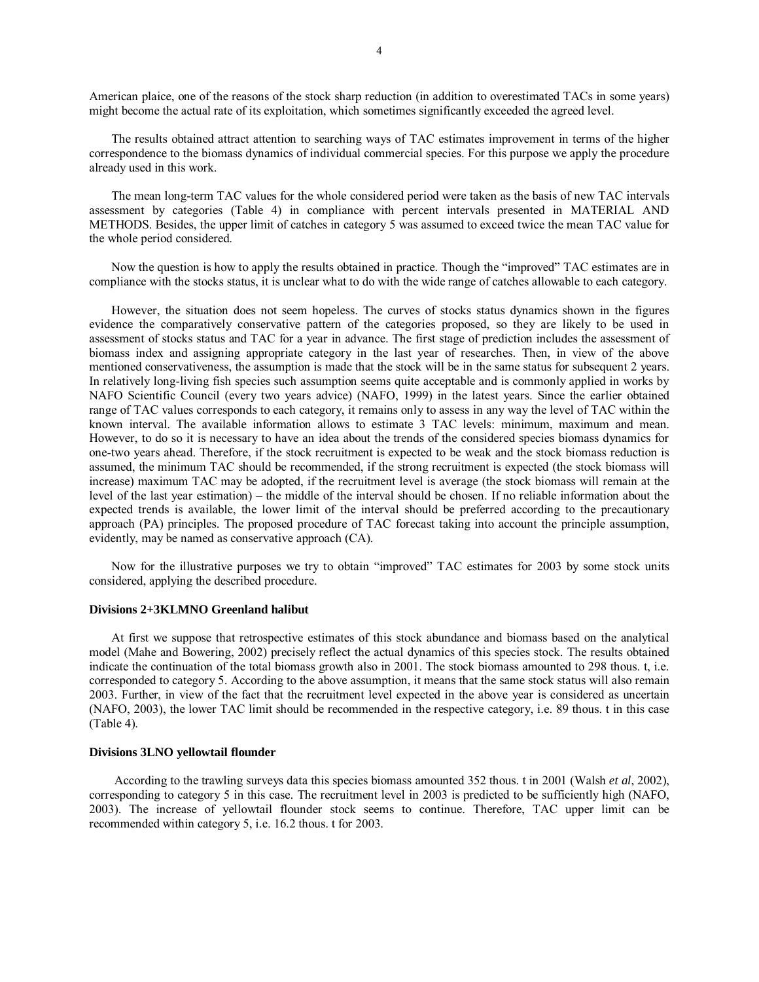American plaice, one of the reasons of the stock sharp reduction (in addition to overestimated TACs in some years) might become the actual rate of its exploitation, which sometimes significantly exceeded the agreed level.

The results obtained attract attention to searching ways of TAC estimates improvement in terms of the higher correspondence to the biomass dynamics of individual commercial species. For this purpose we apply the procedure already used in this work.

The mean long-term TAC values for the whole considered period were taken as the basis of new TAC intervals assessment by categories (Table 4) in compliance with percent intervals presented in MATERIAL AND METHODS. Besides, the upper limit of catches in category 5 was assumed to exceed twice the mean TAC value for the whole period considered.

Now the question is how to apply the results obtained in practice. Though the "improved" TAC estimates are in compliance with the stocks status, it is unclear what to do with the wide range of catches allowable to each category.

However, the situation does not seem hopeless. The curves of stocks status dynamics shown in the figures evidence the comparatively conservative pattern of the categories proposed, so they are likely to be used in assessment of stocks status and TAC for a year in advance. The first stage of prediction includes the assessment of biomass index and assigning appropriate category in the last year of researches. Then, in view of the above mentioned conservativeness, the assumption is made that the stock will be in the same status for subsequent 2 years. In relatively long-living fish species such assumption seems quite acceptable and is commonly applied in works by NAFO Scientific Council (every two years advice) (NAFO, 1999) in the latest years. Since the earlier obtained range of TAC values corresponds to each category, it remains only to assess in any way the level of TAC within the known interval. The available information allows to estimate 3 TAC levels: minimum, maximum and mean. However, to do so it is necessary to have an idea about the trends of the considered species biomass dynamics for one-two years ahead. Therefore, if the stock recruitment is expected to be weak and the stock biomass reduction is assumed, the minimum TAC should be recommended, if the strong recruitment is expected (the stock biomass will increase) maximum TAC may be adopted, if the recruitment level is average (the stock biomass will remain at the level of the last year estimation) – the middle of the interval should be chosen. If no reliable information about the expected trends is available, the lower limit of the interval should be preferred according to the precautionary approach (PA) principles. The proposed procedure of TAC forecast taking into account the principle assumption, evidently, may be named as conservative approach (CA).

Now for the illustrative purposes we try to obtain "improved" TAC estimates for 2003 by some stock units considered, applying the described procedure.

#### **Divisions 2+3KLMNO Greenland halibut**

At first we suppose that retrospective estimates of this stock abundance and biomass based on the analytical model (Mahe and Bowering, 2002) precisely reflect the actual dynamics of this species stock. The results obtained indicate the continuation of the total biomass growth also in 2001. The stock biomass amounted to 298 thous. t, i.e. corresponded to category 5. According to the above assumption, it means that the same stock status will also remain 2003. Further, in view of the fact that the recruitment level expected in the above year is considered as uncertain (NАFО, 2003), the lower TAC limit should be recommended in the respective category, i.e. 89 thous. t in this case (Table 4).

#### **Divisions 3LNO yellowtail flounder**

 According to the trawling surveys data this species biomass amounted 352 thous. t in 2001 (Walsh *et al*, 2002), corresponding to category 5 in this case. The recruitment level in 2003 is predicted to be sufficiently high (NАFО, 2003). The increase of yellowtail flounder stock seems to continue. Therefore, TAC upper limit can be recommended within category 5, i.e. 16.2 thous. t for 2003.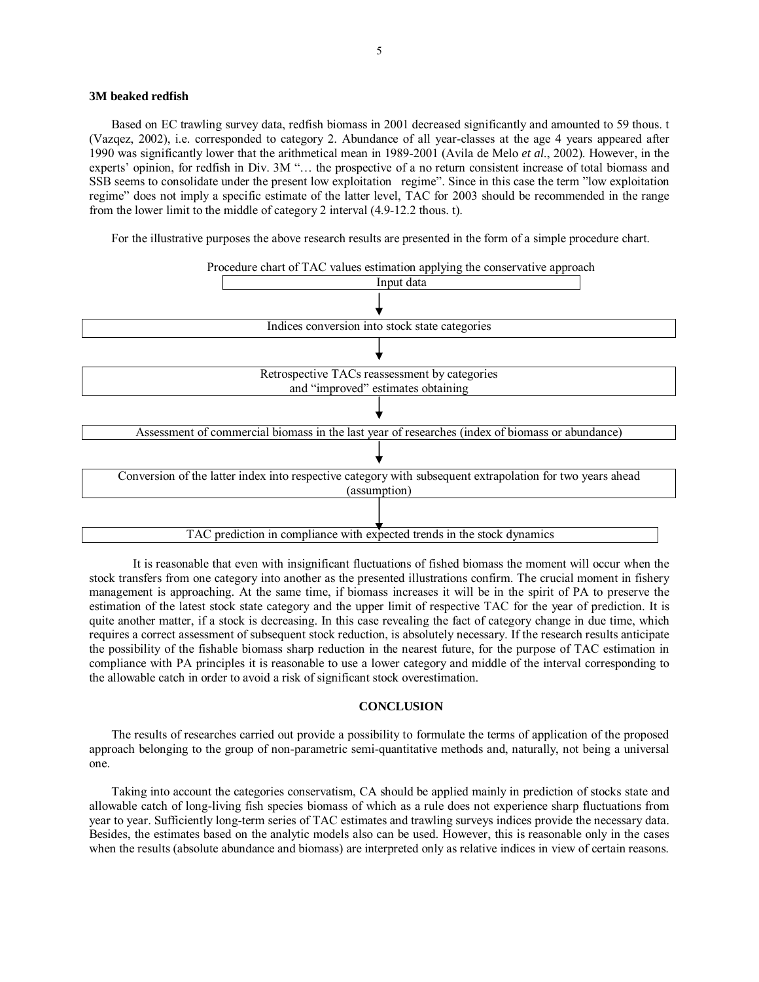### **3M beaked redfish**

Based on EC trawling survey data, redfish biomass in 2001 decreased significantly and amounted to 59 thous. t (Vazqez, 2002), i.e. corresponded to category 2. Abundance of all year-classes at the age 4 years appeared after 1990 was significantly lower that the arithmetical mean in 1989-2001 (Avila de Melo *et al*., 2002). However, in the experts' opinion, for redfish in Div. 3M "... the prospective of a no return consistent increase of total biomass and SSB seems to consolidate under the present low exploitation regime". Since in this case the term "low exploitation regimeî does not imply a specific estimate of the latter level, TAC for 2003 should be recommended in the range from the lower limit to the middle of category 2 interval (4.9-12.2 thous. t).

For the illustrative purposes the above research results are presented in the form of a simple procedure chart.



 It is reasonable that even with insignificant fluctuations of fished biomass the moment will occur when the stock transfers from one category into another as the presented illustrations confirm. The crucial moment in fishery management is approaching. At the same time, if biomass increases it will be in the spirit of PA to preserve the estimation of the latest stock state category and the upper limit of respective TAC for the year of prediction. It is quite another matter, if a stock is decreasing. In this case revealing the fact of category change in due time, which requires a correct assessment of subsequent stock reduction, is absolutely necessary. If the research results anticipate the possibility of the fishable biomass sharp reduction in the nearest future, for the purpose of TAC estimation in compliance with PA principles it is reasonable to use a lower category and middle of the interval corresponding to the allowable catch in order to avoid a risk of significant stock overestimation.

#### **CONCLUSION**

The results of researches carried out provide a possibility to formulate the terms of application of the proposed approach belonging to the group of non-parametric semi-quantitative methods and, naturally, not being a universal one.

Taking into account the categories conservatism, CA should be applied mainly in prediction of stocks state and allowable catch of long-living fish species biomass of which as a rule does not experience sharp fluctuations from year to year. Sufficiently long-term series of TAC estimates and trawling surveys indices provide the necessary data. Besides, the estimates based on the analytic models also can be used. However, this is reasonable only in the cases when the results (absolute abundance and biomass) are interpreted only as relative indices in view of certain reasons.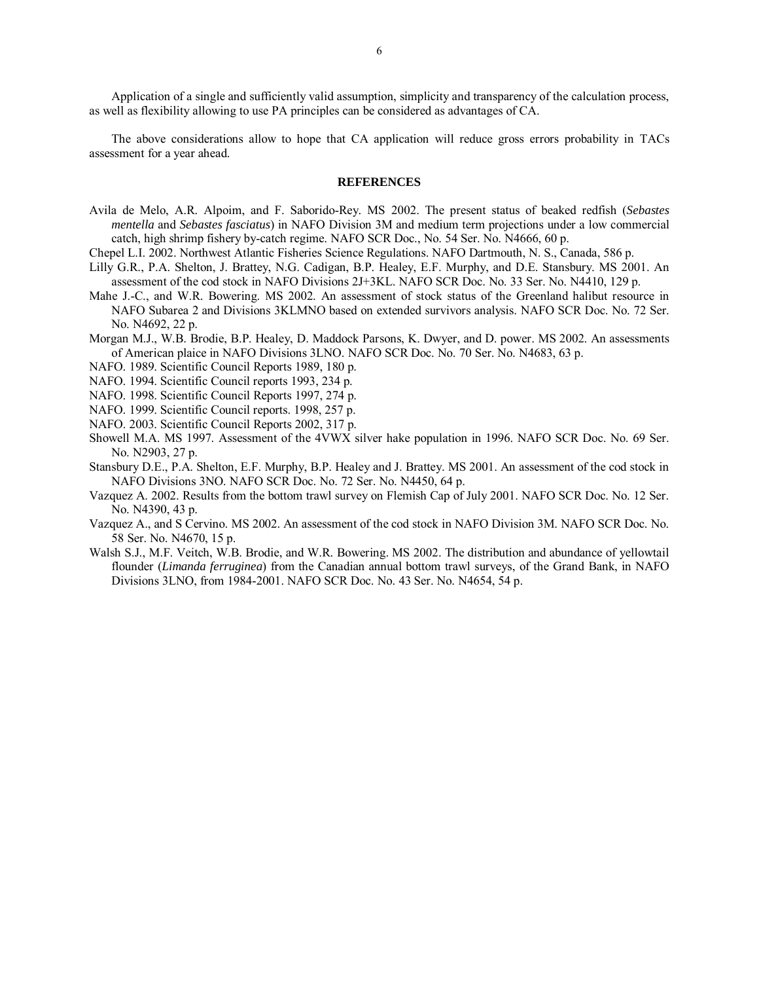Application of a single and sufficiently valid assumption, simplicity and transparency of the calculation process, as well as flexibility allowing to use PA principles can be considered as advantages of CA.

The above considerations allow to hope that CA application will reduce gross errors probability in TACs assessment for a year ahead.

#### **REFERENCES**

- Avilа de Melo, A.R. Alpoim, and F. Saborido-Rey. MS 2002. The present status of beaked redfish (*Sebastes mentella* and *Sebastes fasciatus*) in NAFO Division 3M and medium term projections under a low commercial catch, high shrimp fishery by-catch regime. NAFO SCR Doc., No. 54 Ser. No. N4666, 60 p.
- Chepel L.I. 2002. Northwest Atlantic Fisheries Science Regulations. NAFO Dartmouth, N. S., Canada, 586 p.
- Lilly G.R., P.A. Shelton, J. Brattey, N.G. Cadigan, B.P. Healey, E.F. Murphy, and D.E. Stansbury. MS 2001. An assessment of the cod stock in NAFO Divisions 2J+3KL. NAFO SCR Doc. No. 33 Ser. No. N4410, 129 p.
- Mahe J.-C., and W.R. Bowering. MS 2002. An assessment of stock status of the Greenland halibut resource in NAFO Subarea 2 and Divisions 3KLMNO based on extended survivors analysis. NAFO SCR Doc. No. 72 Ser. No. N4692, 22 p.
- Morgan M.J., W.B. Brodie, B.P. Healey, D. Maddock Parsons, K. Dwyer, and D. power. MS 2002. An assessments of American plaice in NAFO Divisions 3LNO. NAFO SCR Doc. No. 70 Ser. No. N4683, 63 p.
- NAFO. 1989. Scientific Council Reports 1989, 180 p.
- NAFO. 1994. Scientific Council reports 1993, 234 p.
- NAFO. 1998. Scientific Council Reports 1997, 274 p.
- NAFO. 1999. Scientific Council reports. 1998, 257 p.
- NAFO. 2003. Scientific Council Reports 2002, 317 p.
- Showell M.A. MS 1997. Assessment of the 4VWX silver hake population in 1996. NAFO SCR Doc. No. 69 Ser. No. N2903, 27 p.
- Stansbury D.E., P.A. Shelton, E.F. Murphy, B.P. Healey and J. Brattey. MS 2001. An assessment of the cod stock in NAFO Divisions 3NO. NAFO SCR Doc. No. 72 Ser. No. N4450, 64 p.
- Vazquez A. 2002. Results from the bottom trawl survey on Flemish Cap of July 2001. NAFO SCR Doc. No. 12 Ser. No. N4390, 43 p.
- Vazquez A., and S Cervino. MS 2002. An assessment of the cod stock in NAFO Division 3M. NAFO SCR Doc. No. 58 Ser. No. N4670, 15 p.
- Walsh S.J., M.F. Veitch, W.B. Brodie, and W.R. Bowering. MS 2002. The distribution and abundance of yellowtail flounder (*Limanda ferruginea*) from the Canadian annual bottom trawl surveys, of the Grand Bank, in NAFO Divisions 3LNO, from 1984-2001. NAFO SCR Doc. No. 43 Ser. No. N4654, 54 p.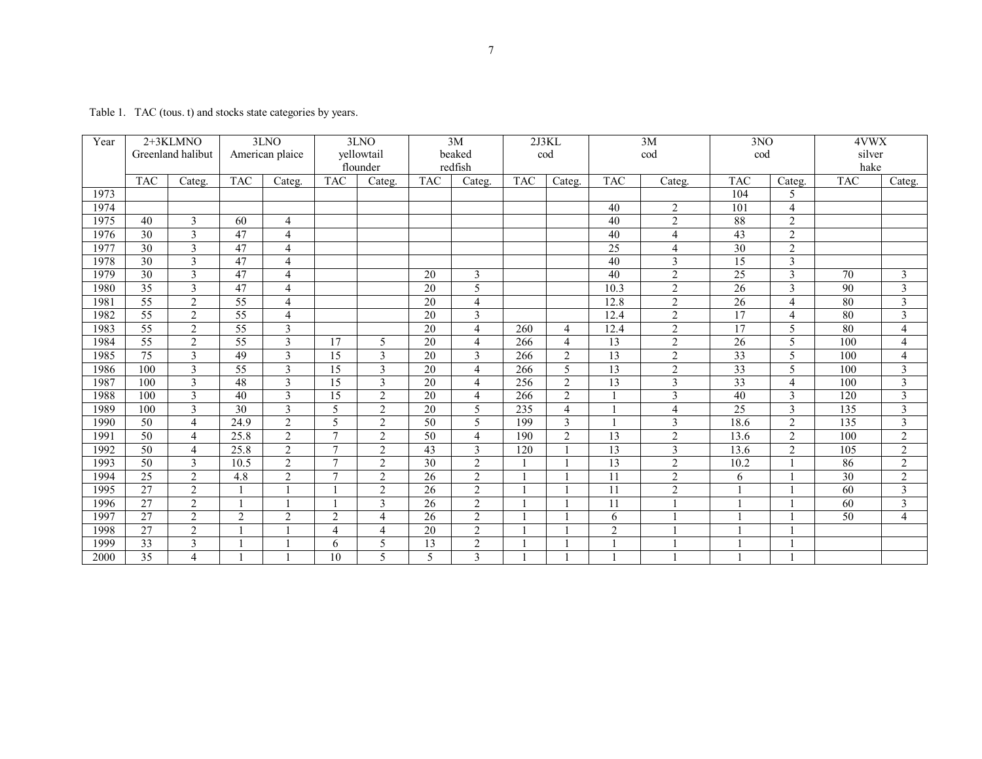Table 1. TAC (tous. t) and stocks state categories by years.

| Year | 2+3KLMNO          |                | 3LNO            |                          | 3LNO            |                         | 3M              |                | 2J3KL      |                | 3M              |                         | 3NO             |                         | 4VWX       |                         |
|------|-------------------|----------------|-----------------|--------------------------|-----------------|-------------------------|-----------------|----------------|------------|----------------|-----------------|-------------------------|-----------------|-------------------------|------------|-------------------------|
|      | Greenland halibut |                | American plaice |                          | yellowtail      |                         | beaked          |                | cod        |                | cod             |                         | cod             |                         | silver     |                         |
|      |                   |                |                 |                          | flounder        |                         | redfish         |                |            |                |                 |                         |                 |                         | hake       |                         |
|      | <b>TAC</b>        | Categ.         | <b>TAC</b>      | Categ.                   | <b>TAC</b>      | Categ.                  | <b>TAC</b>      | Categ.         | <b>TAC</b> | Categ.         | <b>TAC</b>      | Categ.                  | <b>TAC</b>      | Categ.                  | <b>TAC</b> | Categ.                  |
| 1973 |                   |                |                 |                          |                 |                         |                 |                |            |                |                 |                         | 104             | 5                       |            |                         |
| 1974 |                   |                |                 |                          |                 |                         |                 |                |            |                | 40              | $\overline{2}$          | 101             | $\overline{4}$          |            |                         |
| 1975 | 40                | 3              | 60              | 4                        |                 |                         |                 |                |            |                | 40              | $\overline{2}$          | 88              | $\overline{2}$          |            |                         |
| 1976 | 30                | 3              | 47              | $\overline{4}$           |                 |                         |                 |                |            |                | 40              | $\overline{4}$          | 43              | $\overline{2}$          |            |                         |
| 1977 | 30                | 3              | 47              | $\overline{\mathcal{L}}$ |                 |                         |                 |                |            |                | 25              | $\overline{4}$          | 30              | $\overline{2}$          |            |                         |
| 1978 | 30                | $\overline{3}$ | 47              | $\overline{4}$           |                 |                         |                 |                |            |                | 40              | $\mathfrak{Z}$          | 15              | 3                       |            |                         |
| 1979 | 30                | 3              | 47              | $\overline{4}$           |                 |                         | 20              | 3              |            |                | 40              | $\overline{2}$          | 25              | 3                       | 70         | $\mathfrak{Z}$          |
| 1980 | $\overline{35}$   | 3              | 47              | $\overline{4}$           |                 |                         | 20              | 5              |            |                | 10.3            | $\overline{2}$          | 26              | 3                       | 90         | $\overline{3}$          |
| 1981 | 55                | 2              | 55              | $\overline{4}$           |                 |                         | $\overline{20}$ | 4              |            |                | 12.8            | $\overline{2}$          | $\overline{26}$ | $\overline{4}$          | 80         | 3                       |
| 1982 | 55                | 2              | $\overline{55}$ | $\overline{4}$           |                 |                         | 20              | 3              |            |                | 12.4            | $\sqrt{2}$              | 17              | $\overline{4}$          | 80         | $\mathfrak{Z}$          |
| 1983 | 55                | $\overline{2}$ | 55              | $\overline{3}$           |                 |                         | $\overline{20}$ | 4              | 260        | $\overline{4}$ | 12.4            | $\overline{2}$          | $\overline{17}$ | 5                       | 80         | $\overline{4}$          |
| 1984 | 55                | $\overline{2}$ | 55              | 3                        | 17              | 5                       | 20              | 4              | 266        | $\overline{4}$ | 13              | $\overline{2}$          | $\overline{26}$ | 5                       | 100        | $\overline{4}$          |
| 1985 | 75                | 3              | 49              | 3                        | $\overline{15}$ | 3                       | 20              | 3              | 266        | 2              | 13              | $\overline{2}$          | 33              | 5                       | 100        | $\overline{4}$          |
| 1986 | 100               | $\overline{3}$ | $\overline{55}$ | $\overline{3}$           | $\overline{15}$ | $\overline{\mathbf{3}}$ | $\overline{20}$ | 4              | 266        | 5              | $\overline{13}$ | $\overline{2}$          | $\overline{33}$ | 5                       | 100        | $\overline{\mathbf{3}}$ |
| 1987 | 100               | 3              | 48              | 3                        | $\overline{15}$ | $\overline{\mathbf{3}}$ | 20              | 4              | 256        | 2              | 13              | $\overline{3}$          | 33              | $\overline{4}$          | 100        | $\overline{\mathbf{3}}$ |
| 1988 | 100               | 3              | 40              | 3                        | $\overline{15}$ | $\overline{2}$          | $\overline{20}$ | 4              | 266        | 2              |                 | $\overline{\mathbf{3}}$ | 40              | 3                       | 120        | $\overline{\mathbf{3}}$ |
| 1989 | 100               | $\overline{3}$ | 30              | $\overline{\mathbf{3}}$  | 5               | $\overline{2}$          | 20              | 5              | 235        | $\overline{4}$ |                 | $\overline{4}$          | 25              | $\overline{\mathbf{3}}$ | 135        | $\overline{\mathbf{3}}$ |
| 1990 | 50                | $\overline{4}$ | 24.9            | $\overline{2}$           | 5               | $\overline{2}$          | 50              | 5              | 199        | 3              |                 | $\mathfrak{Z}$          | 18.6            | $\overline{2}$          | 135        | $\mathfrak{Z}$          |
| 1991 | 50                | 4              | 25.8            | $\overline{2}$           | $\tau$          | 2                       | 50              | 4              | 190        | 2              | 13              | $\overline{2}$          | 13.6            | $\overline{2}$          | 100        | $\overline{2}$          |
| 1992 | 50                | $\overline{4}$ | 25.8            | $\overline{2}$           | $\overline{7}$  | $\overline{2}$          | $\overline{43}$ | 3              | 120        |                | 13              | $\overline{3}$          | 13.6            | $\overline{2}$          | 105        | $\overline{2}$          |
| 1993 | 50                | $\overline{3}$ | 10.5            | $\overline{c}$           | $\overline{7}$  | $\overline{2}$          | $\overline{30}$ | $\overline{2}$ |            |                | 13              | $\overline{2}$          | 10.2            |                         | 86         | $\overline{2}$          |
| 1994 | 25                | 2              | 4.8             | $\sqrt{2}$               | $\tau$          | $\sqrt{2}$              | 26              | $\overline{2}$ |            |                | 11              | $\sqrt{2}$              | 6               |                         | 30         | $\overline{2}$          |
| 1995 | $\overline{27}$   | 2              |                 |                          |                 | $\overline{2}$          | 26              | $\overline{2}$ |            |                | 11              | $\overline{2}$          |                 |                         | 60         | $\overline{\mathbf{3}}$ |
| 1996 | 27                | $\overline{2}$ |                 |                          |                 | 3                       | 26              | $\overline{2}$ |            |                | 11              |                         |                 |                         | 60         | $\mathfrak{Z}$          |
| 1997 | 27                | $\overline{2}$ | $\overline{2}$  | $\sqrt{2}$               | $\sqrt{2}$      | $\overline{4}$          | 26              | $\overline{2}$ |            |                | 6               |                         |                 |                         | 50         | $\overline{4}$          |
| 1998 | $\overline{27}$   | 2              |                 |                          | $\overline{4}$  | $\overline{4}$          | 20              | $\overline{2}$ |            |                | $\overline{2}$  |                         |                 |                         |            |                         |
| 1999 | $\overline{33}$   | $\overline{3}$ |                 |                          | 6               | 5                       | 13              | $\overline{2}$ |            |                |                 |                         |                 |                         |            |                         |
| 2000 | $\overline{35}$   | $\overline{4}$ |                 |                          | 10              | 5                       | 5               | 3              |            |                |                 |                         |                 |                         |            |                         |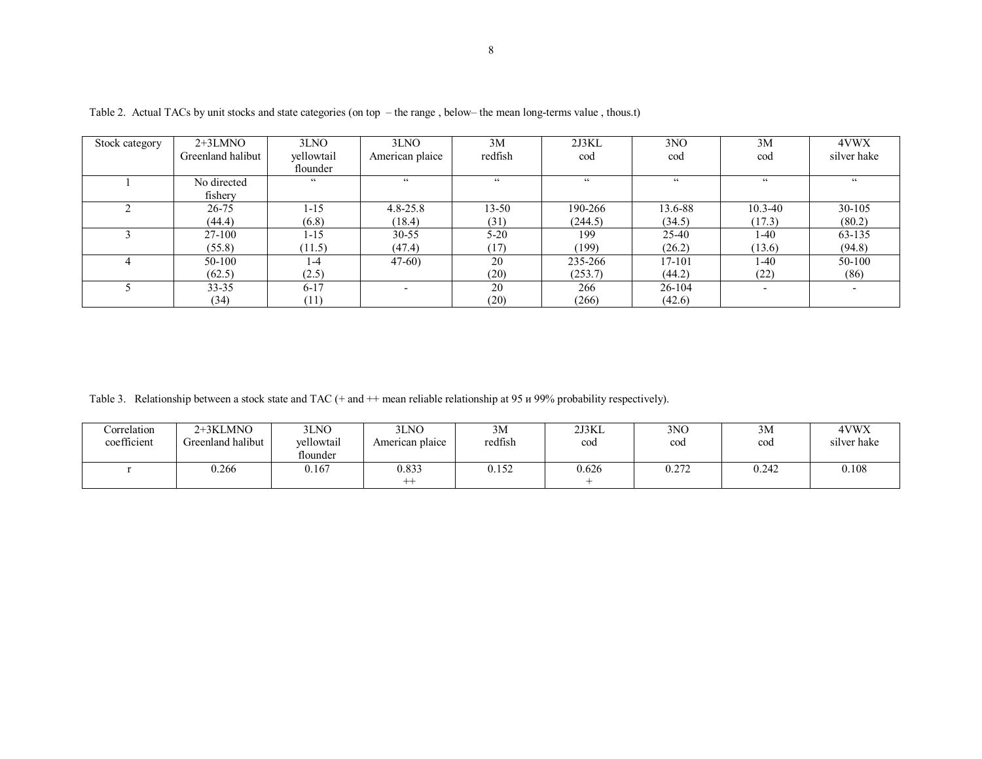| Stock category | $2+3LMNO$         | 3LNO       | 3LNO            | 3M                    | 2J3KL              | 3NO        | 3M          | 4VWX        |
|----------------|-------------------|------------|-----------------|-----------------------|--------------------|------------|-------------|-------------|
|                | Greenland halibut | yellowtail | American plaice | redfish               | cod                | cod        | cod         | silver hake |
|                |                   | flounder   |                 |                       |                    |            |             |             |
|                | No directed       | 66         | 66              | $\epsilon$ $\epsilon$ | $\epsilon\epsilon$ | cc         | $\epsilon$  | $\epsilon$  |
|                | fishery           |            |                 |                       |                    |            |             |             |
|                | 26-75             | $1 - 15$   | $4.8 - 25.8$    | $13 - 50$             | 190-266            | 13.6-88    | $10.3 - 40$ | 30-105      |
|                | (44.4)            | (6.8)      | (18.4)          | (31)                  | (244.5)            | (34.5)     | (17.3)      | (80.2)      |
|                | 27-100            | $1 - 15$   | $30 - 55$       | $5-20$                | 199                | 25-40      | 1-40        | 63-135      |
|                | (55.8)            | (11.5)     | (47.4)          | (17)                  | (199)              | (26.2)     | (13.6)      | (94.8)      |
|                | 50-100            | 1-4        | $47-60$         | 20                    | 235-266            | 17-101     | 1-40        | 50-100      |
|                | (62.5)            | (2.5)      |                 | (20)                  | (253.7)            | (44.2)     | (22)        | (86)        |
|                | $33 - 35$         | $6 - 17$   |                 | 20                    | 266                | $26 - 104$ |             |             |
|                | (34)              | (11)       |                 | (20)                  | (266)              | (42.6)     |             |             |

Table 2. Actual TACs by unit stocks and state categories (on top - the range, below- the mean long-terms value, thous.t)

Table 3. Relationship between a stock state and TAC (+ and ++ mean reliable relationship at 95  $\mu$  99% probability respectively).

| Correlation<br>coefficient | 2+3KLMNO<br>Greenland halibut | 3LNO<br>vellowtail<br>flounder | 3LNO<br>American plaice   | 3M<br>redfish | 2J3KL<br>cod | 3 <sub>NO</sub><br>cod | 3M<br>cod | 4VWX<br>silver hake |
|----------------------------|-------------------------------|--------------------------------|---------------------------|---------------|--------------|------------------------|-----------|---------------------|
|                            | 0.266                         | 0.167                          | 0.833<br>$^{\mathrm{++}}$ | 0.152         | 0.626        | רמי<br>U.Z 12          | 0.242     | 0.108               |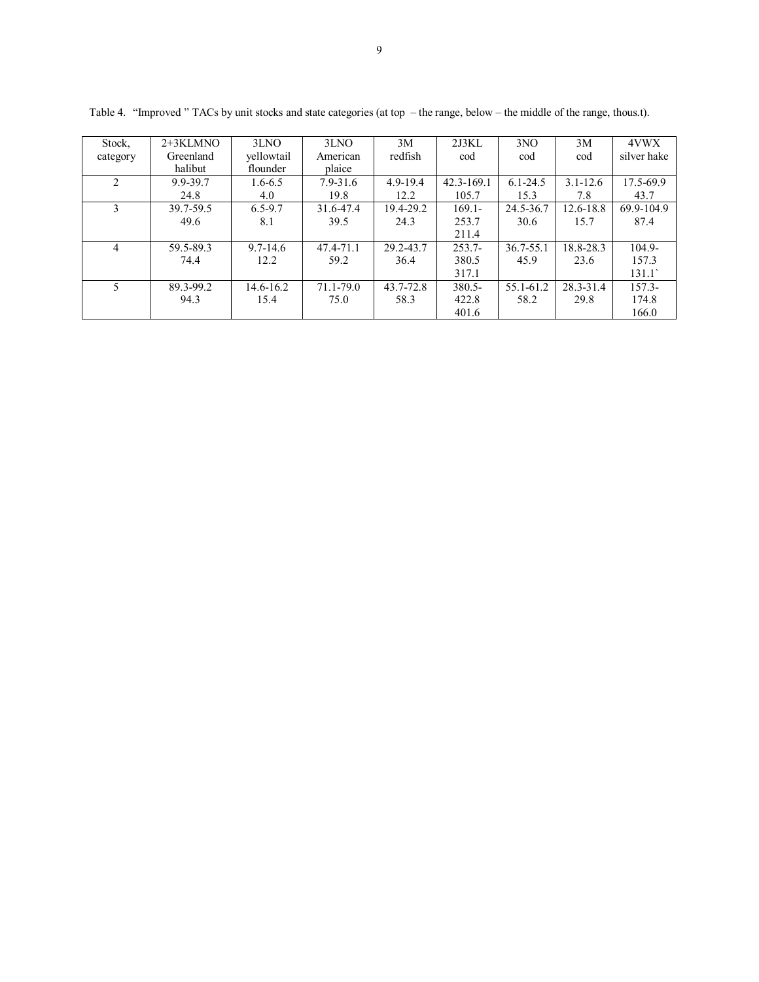| Stock,         | $2+3KLMNO$ | 3LNO         | 3LNO          | 3M           | 2J3KL      | 3NO          | 3M            | 4VWX        |
|----------------|------------|--------------|---------------|--------------|------------|--------------|---------------|-------------|
| category       | Greenland  | yellowtail   | American      | redfish      | cod        | cod          | cod           | silver hake |
|                | halibut    | flounder     | plaice        |              |            |              |               |             |
| $\mathfrak{D}$ | 9.9-39.7   | $1.6 - 6.5$  | $7.9 - 31.6$  | $4.9 - 19.4$ | 42.3-169.1 | $6.1 - 24.5$ | $3.1 - 12.6$  | 17.5-69.9   |
|                | 24.8       | 4.0          | 19.8          | 12.2         | 105.7      | 15.3         | 7.8           | 43.7        |
|                | 39.7-59.5  | 6.5-9.7      | 31.6-47.4     | 19.4-29.2    | $169.1 -$  | 24.5-36.7    | $12.6 - 18.8$ | 69.9-104.9  |
|                | 49.6       | 8.1          | 39.5          | 24.3         | 253.7      | 30.6         | 15.7          | 87.4        |
|                |            |              |               |              | 211.4      |              |               |             |
| 4              | 59.5-89.3  | $9.7 - 14.6$ | 47.4-71.1     | 29.2-43.7    | $253.7-$   | 36.7-55.1    | 18.8-28.3     | $104.9 -$   |
|                | 74.4       | 12.2         | 59.2          | 36.4         | 380.5      | 45.9         | 23.6          | 157.3       |
|                |            |              |               |              | 317.1      |              |               | 131.1       |
|                | 89.3-99.2  | 14.6-16.2    | $71.1 - 79.0$ | 43.7-72.8    | $380.5 -$  | 55.1-61.2    | 28.3-31.4     | $157.3-$    |
|                | 94.3       | 15.4         | 75.0          | 58.3         | 422.8      | 58.2         | 29.8          | 174.8       |
|                |            |              |               |              | 401.6      |              |               | 166.0       |

Table 4. "Improved " TACs by unit stocks and state categories (at top - the range, below - the middle of the range, thous.t).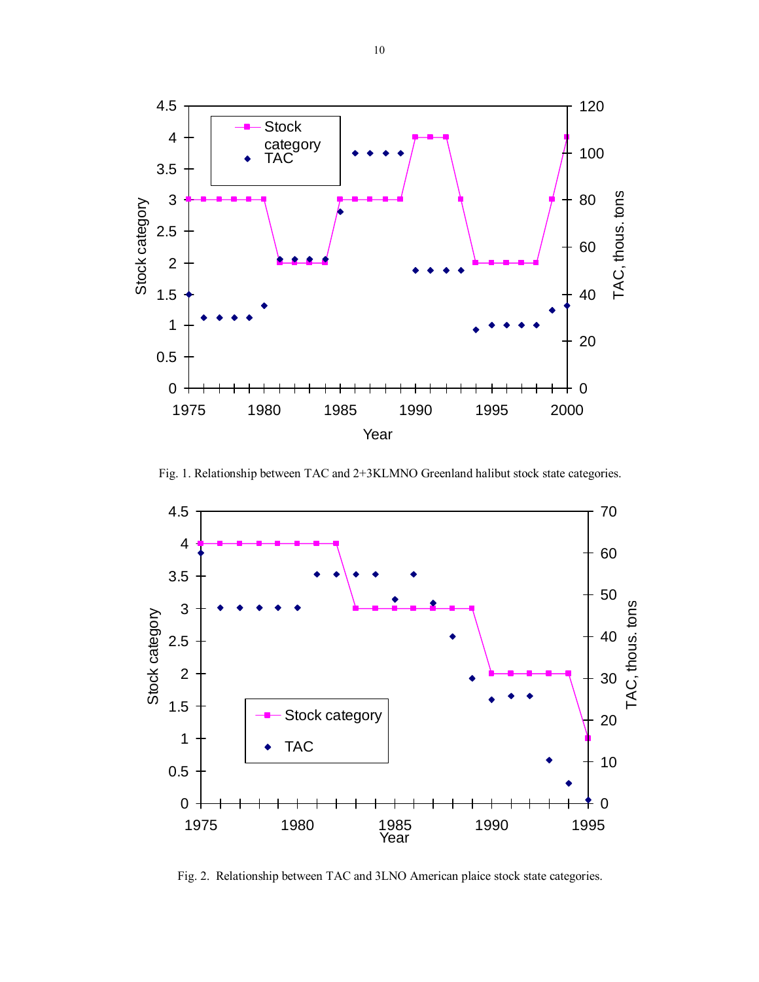

Fig. 1. Relationship between ТАС and 2+3KLMNO Greenland halibut stock state categories.



Fig. 2. Relationship between TAC and 3LNO American plaice stock state categories.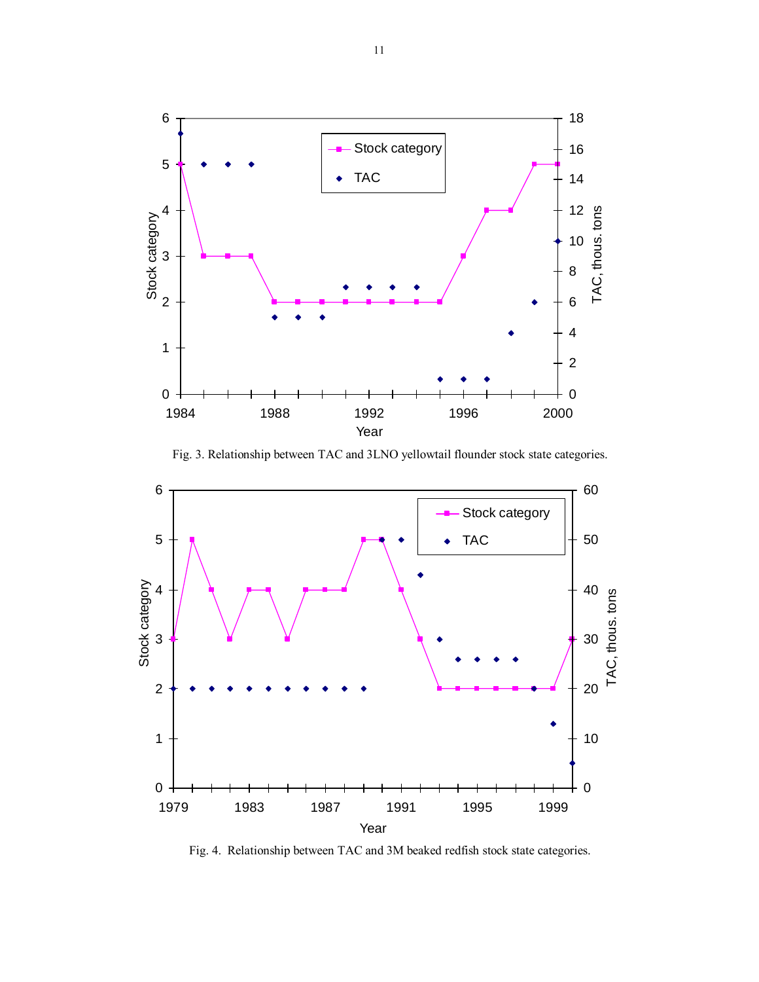

Fig. 3. Relationship between ТАС and 3LNO yellowtail flounder stock state categories.



Fig. 4. Relationship between ТАС and 3М beaked redfish stock state categories.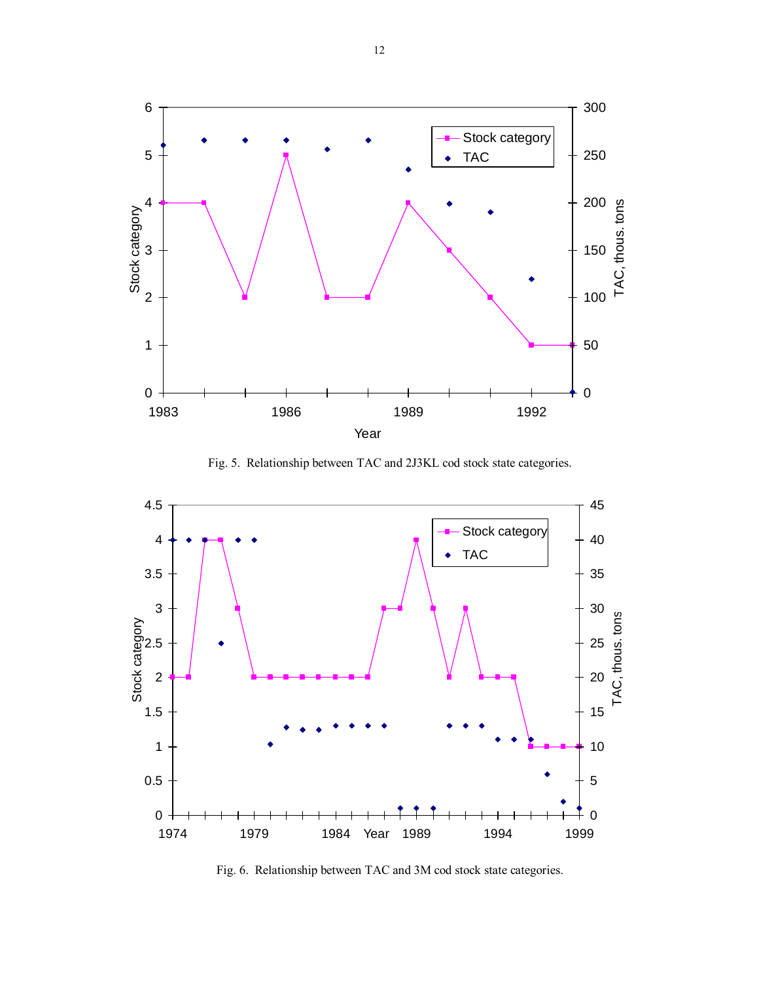

Fig. 5. Relationship between ТАС and 2J3KL cod stock state categories.



Fig. 6. Relationship between ТАС and 3М cod stock state categories.